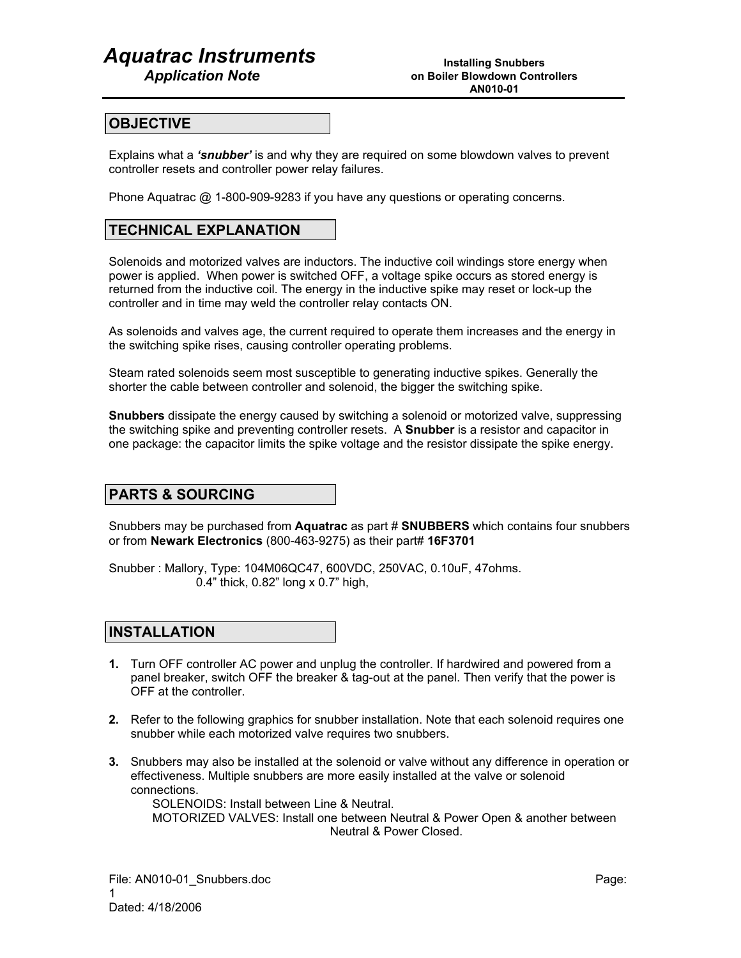# *Aquatrac Instruments*

 *Application Note*

#### **OBJECTIVE**

Explains what a *'snubber'* is and why they are required on some blowdown valves to prevent controller resets and controller power relay failures.

Phone Aquatrac @ 1-800-909-9283 if you have any questions or operating concerns.

### **TECHNICAL EXPLANATION**

Solenoids and motorized valves are inductors. The inductive coil windings store energy when power is applied. When power is switched OFF, a voltage spike occurs as stored energy is returned from the inductive coil. The energy in the inductive spike may reset or lock-up the controller and in time may weld the controller relay contacts ON.

As solenoids and valves age, the current required to operate them increases and the energy in the switching spike rises, causing controller operating problems.

Steam rated solenoids seem most susceptible to generating inductive spikes. Generally the shorter the cable between controller and solenoid, the bigger the switching spike.

**Snubbers** dissipate the energy caused by switching a solenoid or motorized valve, suppressing the switching spike and preventing controller resets. A **Snubber** is a resistor and capacitor in one package: the capacitor limits the spike voltage and the resistor dissipate the spike energy.

#### **PARTS & SOURCING**

Snubbers may be purchased from **Aquatrac** as part # **SNUBBERS** which contains four snubbers or from **Newark Electronics** (800-463-9275) as their part# **16F3701**

Snubber : Mallory, Type: 104M06QC47, 600VDC, 250VAC, 0.10uF, 47ohms. 0.4" thick, 0.82" long x 0.7" high,

#### **INSTALLATION**

- **1.** Turn OFF controller AC power and unplug the controller. If hardwired and powered from a panel breaker, switch OFF the breaker & tag-out at the panel. Then verify that the power is OFF at the controller.
- **2.** Refer to the following graphics for snubber installation. Note that each solenoid requires one snubber while each motorized valve requires two snubbers.
- **3.** Snubbers may also be installed at the solenoid or valve without any difference in operation or effectiveness. Multiple snubbers are more easily installed at the valve or solenoid connections.

 SOLENOIDS: Install between Line & Neutral. MOTORIZED VALVES: Install one between Neutral & Power Open & another between Neutral & Power Closed.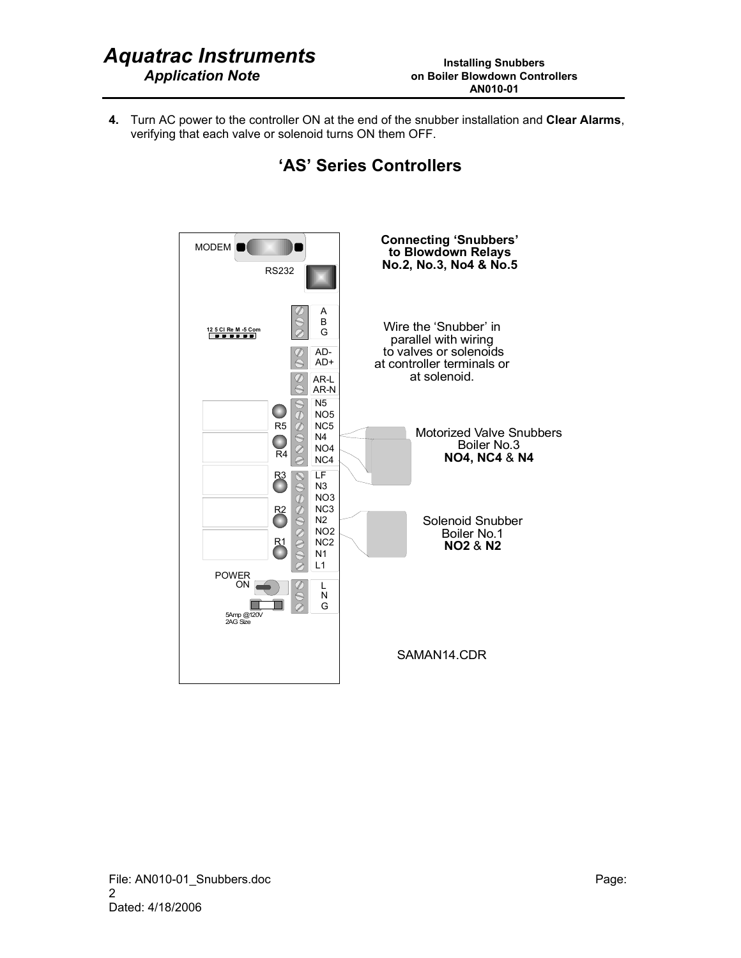**4.** Turn AC power to the controller ON at the end of the snubber installation and **Clear Alarms**, verifying that each valve or solenoid turns ON them OFF.



### **'AS' Series Controllers**